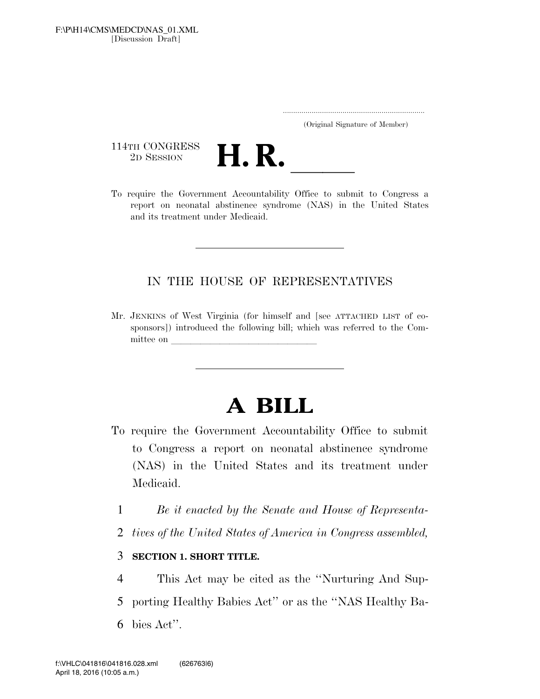[Discussion Draft] F:\P\H14\CMS\MEDCD\NAS\_01.XML

.....................................................................

(Original Signature of Member)

114TH CONGRESS<br>2D SESSION



114TH CONGRESS<br>
2D SESSION<br>
To require the Government Accountability Office to submit to Congress a report on neonatal abstinence syndrome (NAS) in the United States and its treatment under Medicaid.

## IN THE HOUSE OF REPRESENTATIVES

Mr. JENKINS of West Virginia (for himself and [see ATTACHED LIST of cosponsors]) introduced the following bill; which was referred to the Committee on

## **A BILL**

- To require the Government Accountability Office to submit to Congress a report on neonatal abstinence syndrome (NAS) in the United States and its treatment under Medicaid.
	- 1 *Be it enacted by the Senate and House of Representa-*
	- 2 *tives of the United States of America in Congress assembled,*

## 3 **SECTION 1. SHORT TITLE.**

4 This Act may be cited as the ''Nurturing And Sup-

5 porting Healthy Babies Act'' or as the ''NAS Healthy Ba-

6 bies Act''.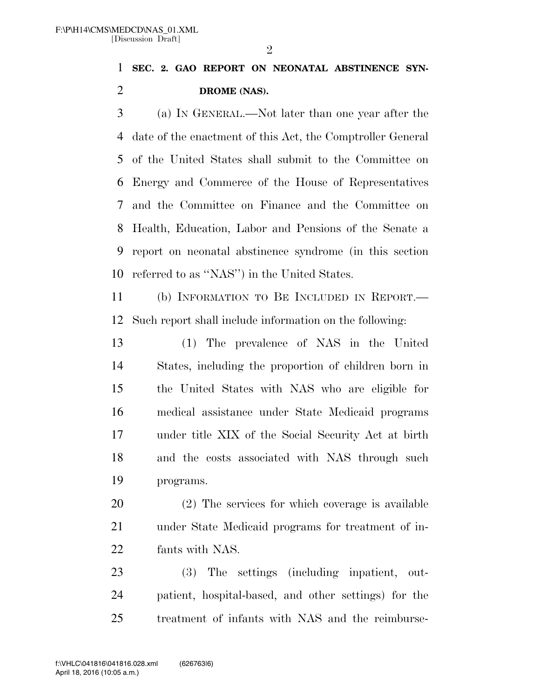**SEC. 2. GAO REPORT ON NEONATAL ABSTINENCE SYN-DROME (NAS).** 

 (a) IN GENERAL.—Not later than one year after the date of the enactment of this Act, the Comptroller General of the United States shall submit to the Committee on Energy and Commerce of the House of Representatives and the Committee on Finance and the Committee on Health, Education, Labor and Pensions of the Senate a report on neonatal abstinence syndrome (in this section referred to as ''NAS'') in the United States.

 (b) INFORMATION TO BE INCLUDED IN REPORT.— Such report shall include information on the following:

 (1) The prevalence of NAS in the United States, including the proportion of children born in the United States with NAS who are eligible for medical assistance under State Medicaid programs under title XIX of the Social Security Act at birth and the costs associated with NAS through such programs.

 (2) The services for which coverage is available under State Medicaid programs for treatment of in-fants with NAS.

 (3) The settings (including inpatient, out- patient, hospital-based, and other settings) for the treatment of infants with NAS and the reimburse